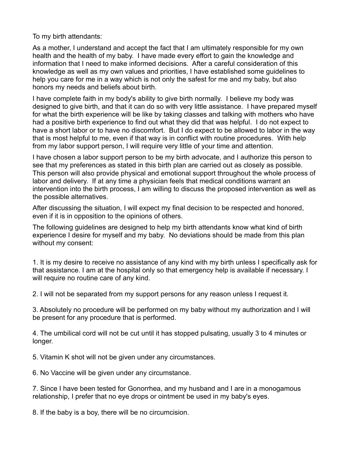To my birth attendants:

As a mother, I understand and accept the fact that I am ultimately responsible for my own health and the health of my baby. I have made every effort to gain the knowledge and information that I need to make informed decisions. After a careful consideration of this knowledge as well as my own values and priorities, I have established some guidelines to help you care for me in a way which is not only the safest for me and my baby, but also honors my needs and beliefs about birth.

I have complete faith in my body's ability to give birth normally. I believe my body was designed to give birth, and that it can do so with very little assistance. I have prepared myself for what the birth experience will be like by taking classes and talking with mothers who have had a positive birth experience to find out what they did that was helpful. I do not expect to have a short labor or to have no discomfort. But I do expect to be allowed to labor in the way that is most helpful to me, even if that way is in conflict with routine procedures. With help from my labor support person, I will require very little of your time and attention.

I have chosen a labor support person to be my birth advocate, and I authorize this person to see that my preferences as stated in this birth plan are carried out as closely as possible. This person will also provide physical and emotional support throughout the whole process of labor and delivery. If at any time a physician feels that medical conditions warrant an intervention into the birth process, I am willing to discuss the proposed intervention as well as the possible alternatives.

After discussing the situation, I will expect my final decision to be respected and honored, even if it is in opposition to the opinions of others.

The following guidelines are designed to help my birth attendants know what kind of birth experience I desire for myself and my baby. No deviations should be made from this plan without my consent:

1. It is my desire to receive no assistance of any kind with my birth unless I specifically ask for that assistance. I am at the hospital only so that emergency help is available if necessary. I will require no routine care of any kind.

2. I will not be separated from my support persons for any reason unless I request it.

3. Absolutely no procedure will be performed on my baby without my authorization and I will be present for any procedure that is performed.

4. The umbilical cord will not be cut until it has stopped pulsating, usually 3 to 4 minutes or longer.

5. Vitamin K shot will not be given under any circumstances.

6. No Vaccine will be given under any circumstance.

7. Since I have been tested for Gonorrhea, and my husband and I are in a monogamous relationship, I prefer that no eye drops or ointment be used in my baby's eyes.

8. If the baby is a boy, there will be no circumcision.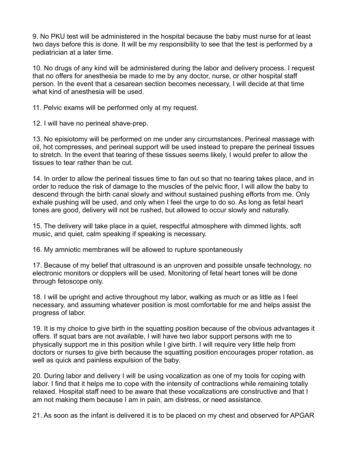9. No PKU test will be administered in the hospital because the baby must nurse for at least two days before this is done. It will be my responsibility to see that the test is performed by a pediatrician at a later time.

10. No drugs of any kind will be administered during the labor and delivery process. I request that no offers for anesthesia be made to me by any doctor, nurse, or other hospital staff person. In the event that a cesarean section becomes necessary, I will decide at that time what kind of anesthesia will be used.

11. Pelvic exams will be performed only at my request.

12. I will have no perineal shave-prep.

13. No episiotomy will be performed on me under any circumstances. Perineal massage with oil, hot compresses, and perineal support will be used instead to prepare the perineal tissues to stretch. In the event that tearing of these tissues seems likely, I would prefer to allow the tissues to tear rather than be cut.

14. In order to allow the perineal tissues time to fan out so that no tearing takes place, and in order to reduce the risk of damage to the muscles of the pelvic floor, I will allow the baby to descend through the birth canal slowly and without sustained pushing efforts from me. Only exhale pushing will be used, and only when I feel the urge to do so. As long as fetal heart tones are good, delivery will not be rushed, but allowed to occur slowly and naturally.

15. The delivery will take place in a quiet, respectful atmosphere with dimmed lights, soft music, and quiet, calm speaking if speaking is necessary.

16. My amniotic membranes will be allowed to rupture spontaneously

17. Because of my belief that ultrasound is an unproven and possible unsafe technology, no electronic monitors or dopplers will be used. Monitoring of fetal heart tones will be done through fetoscope only.

18. I will be upright and active throughout my labor, walking as much or as little as I feel necessary, and assuming whatever position is most comfortable for me and helps assist the progress of labor.

19. It is my choice to give birth in the squatting position because of the obvious advantages it offers. If squat bars are not available, I will have two labor support persons with me to physically support me in this position while I give birth. I will require very little help from doctors or nurses to give birth because the squatting position encourages proper rotation, as well as quick and painless expulsion of the baby.

20. During labor and delivery I will be using vocalization as one of my tools for coping with labor. I find that it helps me to cope with the intensity of contractions while remaining totally relaxed. Hospital staff need to be aware that these vocalizations are constructive and that I am not making them because I am in pain, am distress, or need assistance.

21. As soon as the infant is delivered it is to be placed on my chest and observed for APGAR